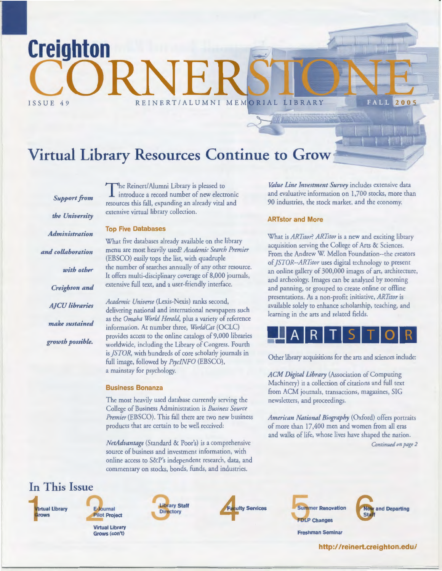# Virtual Library Resources Continue to Grow

*Support from the University Administration and collaboration with other Creighton and A]CU libraries make sustained growth possible.* 

**Creighton** 

ISSUE 49

The Reinert/Alumni Library is pleased to introduce a record number of new electronic resources this fall, expanding an already viral and extensive virtual library collection.

#### **Top Five Databases**

CORNE E

What five databases already available on the library menu are most heavily used? *Academic Search Premier*  (EBSCO) easily tops the list, with quadruple the number of searches annually of any other resource. It offers multi-disciplinary coverage of 8,000 journals, extensive full text, and a user-friendly interface.

*Academic Universe* (Lexis-Nexis) ranks second, delivering national and international newspapers such as the *Omaha World Herald,* plus a variety of reference information. At number three, *WorldCat* (OCLC) provides access to the online catalogs of 9,000 libraries worldwide, including the Library of Congress. Fourth is *]STOR,* with hundreds of core scholarly journals in full image, followed by *Psyc!NFO* (EBSCO), a mainstay for psychology.

#### **Business Bonanza**

The most heavily used database currently serving the College of Business Administration is *Business Source Premier* (EBSCO). This fall there are two new business products that are certain to be well received:

*NetAdvantage* (Standard & Poor's) is a comprehensive source of business and investment information, with online access to S&P's independent research, data, and commentary on stocks, bonds, funds, and industries.



**Virtual Library Grows** 



**Virtual library Grows (con't)** 





**Summer Renovation FDLP Changes** 



**Freshman Seminar** 

**http:/ /reinert.creighton.edu/** 

*Value Line Investment Survey* includes extensive data and evaluative information on 1,700 stocks, more than 90 industries, the stock market, and the economy.

**FALL 2005** 

#### **ARTstor and More**

What is *ARTstor? ARTstor* is a new and exciting library acquisition serving the College of Arts & Sciences. From the Andrew W. Mellon Foundation--the creators of *]STOR--ARTstor* uses digital technology to present an online gallery of 300,000 images of art, architecture, and archeology. Images can be analyzed by zooming and panning, or grouped to create online or offline presentations. As a non-profit initiative, *ARTstor* is available solely to enhance scholarship, teaching, and learning in the arts and related fields.



Other library acquisitions for the arts and sciences include:

*ACM Digital Library* (Association of Computing Machinery) is a collection of citations and full text from ACM journals, transactions, magazines, SIG newsletters, and proceedings.

*American National Biography* (Oxford) offers portraits of more than 17,400 men and women from all eras and walks of life, whose lives have shaped the nation. *Continued on page 2*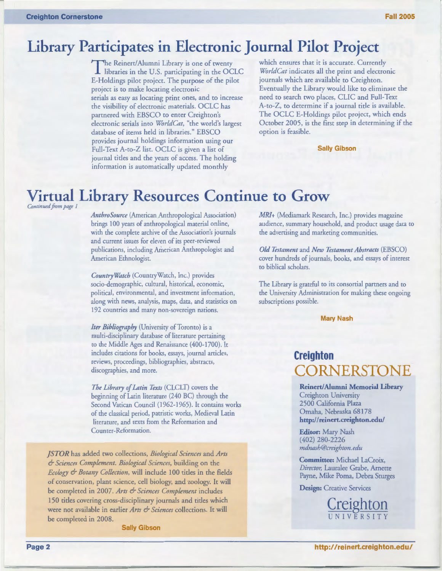### **Library Participates in Electronic Journal Pilot Project**

The Reinert/ Alumni Library is one of twenty libraries in the U.S. participating in the OCLC £-Holdings pilot project. The purpose of the pilot project is to make locating electronic serials as easy as locating print ones, and to increase the visibility of electronic materials. OCLC has partnered with EBSCO to enter Creighton's electronic serials into *WorldCat,* "the world's largest database of items held in libraries." EBSCO provides journal holdings information using our Full-Text A-to-Z list. OCLC is given a list of journal tides and the years of access. The holding information is automatically updated monthly

which ensures that it is accurate. Currently *WorldCat* indicates all the print and electronic journals which are available to Creighton. Eventually the Library would like to eliminate the need to search two places, CLIC and Full-Text A-to-Z, to determine if a journal tide is available. The OCLC £-Holdings pilot project, which ends October 2005, is the first step in determining if the option is feasible.

**Sally Gibson** 

# **Virtual Library Resources Continue to Grow**

*Continued from page 1* 

*AnthroSource* (American Anthropological Association) brings 100 years of anthropological material online, with the complete archive of the Association's journals and current issues for eleven of its peer-reviewed publications, including American Anthropologist and American Ethnologist.

*CountryWatch* (CountryWatch, Inc.) provides socio-demographic, cultural, historical, economic, political, environmental, and investment information, along with news, analysis, maps, data, and statistics on 192 countries and many non-sovereign nations.

*Iter Bibliography* (University of Toronto) is a multi-disciplinary database of literature pertaining to the Middle Ages and Renaissance (400-1700). It includes citations for books, essays, journal articles, reviews, proceedings, bibliographies, abstracts, discographies, and more.

*The Library of Latin Texts* (CLCLT) covers the beginning of Latin literature (240 BC) through the Second Vatican Council (1962-1965). It contains works of the classical period, patristic works, Medieval Latin literature, and texts from the Reformation and Counter-Reformation.

*]STOR* has added two collections, *Biological Sciences* and *Arts*  & *Sciences Complement. Biological Sciences,* building on the *Ecology* & *Botany Collection,* will include 100 tides in the fields of conservation, plant science, cell biology, and zoology. It will be completed in 2007. *Arts* & *Sciences Complement* includes 150 tides covering cross-disciplinary journals and tides which were not available in earlier *Arts* & *Sciences* collections. It will be completed in 2008.

**Sally Gibson** 

MRI+ (Mediamark Research, Inc.) provides magazine audience, summary household, and product usage data to the advertising and marketing communities.

*Old Testament* and *New Testament Abstracts* (EBSCO) cover hundreds of journals, books, and essays of interest to biblical scholars.

The Library is grateful to its consortial partners and to the University Administration for making these ongoing subscriptions possible.

**Mary Nash** 

### **Creighton CORNERSTONE**

**Reinert/ Alumni Memorial Library**  Creighton University 2500 California Plaza Omaha, Nebraska 68178 **http:/ I reinert.creighton.edu/** 

**Editor:** Mary Nash (402) 280-2226 *mdnash@creighton. edu* 

**Committee:** Michael LaCroix, *Director,* Lauralee Grabe, Arnette Payne, Mike Poma, Debra Sturges

**Design:** Creative Services

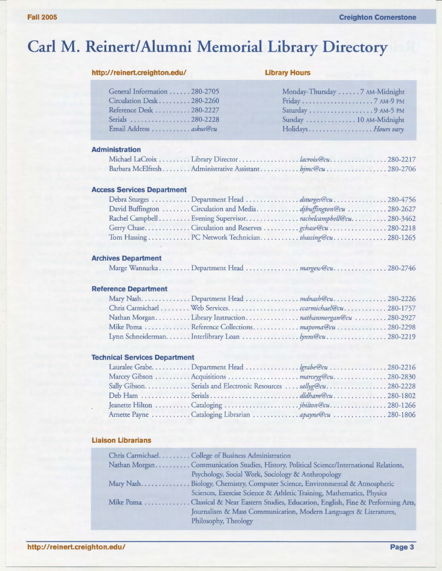# **Carl M. Reinert/ Alumni Memorial Library Directory**

#### **http://reinert.creighton.edu/ Library Hours**

| General Information 280-2705 |
|------------------------------|
| Circulation Desk 280-2260    |
| Reference Desk 280-2227      |
| Serials 280-2228             |
| Email Address  askus@cu      |
|                              |

| General Information  280-2705                       | Monday-Thursday 7 AM-Midnight |
|-----------------------------------------------------|-------------------------------|
| $Circulation$ Desk $\ldots \ldots \ldots 280$ -2260 |                               |
| Reference Desk 280-2227                             | Saturday 9 AM-5 PM            |
| Serials 280-2228                                    | Sunday  10 AM-Midnight        |
| Email Address  askus@cu                             | Holidays Hours vary           |

#### **Administration**

#### **Access Services Department**

| David Buffington  Circulation and Media djbuffington@cu  280-2627 |  |
|-------------------------------------------------------------------|--|
| Rachel Campbell Evening Supervisor. rachelcampbell@cu. 280-3462   |  |
|                                                                   |  |
|                                                                   |  |

#### **Archives Department**

|  | Marge WannarkaDepartment Head <i>margew@cu</i> 280-2746 |  |
|--|---------------------------------------------------------|--|

#### **Reference Department**

#### **Technical Services Department**

| Sally Gibson Serials and Electronic Resources  sallyg@cu280-2228 |  |
|------------------------------------------------------------------|--|
|                                                                  |  |
|                                                                  |  |
| Arnette Payne Cataloging Librarian  apayne@cu 280-1806           |  |

#### **Liaison Librarians**

| Chris Carmichael. College of Business Administration                                    |
|-----------------------------------------------------------------------------------------|
| Nathan MorganCommunication Studies, History, Political Science/International Relations, |
| Psychology, Social Work, Sociology & Anthropology                                       |
| Mary NashBiology, Chemistry, Computer Science, Environmental & Atmospheric              |
| Sciences, Exercise Science & Athletic Training, Mathematics, Physics                    |
| Mike Poma Classical & Near Eastern Studies, Education, English, Fine & Performing Arts, |
| Journalism & Mass Communication, Modern Languages & Literatures,                        |
| Philosophy, Theology                                                                    |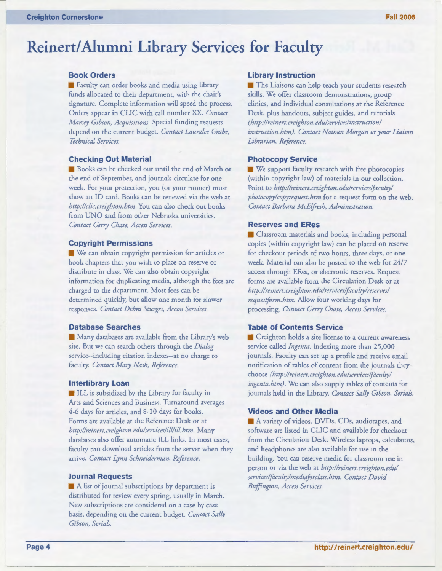# **Reinert/ Alumni Library Services for Faculty**

#### **Book Orders**

**• Faculty can order books and media using library** funds allocated to their department, with the chair's signature. Complete information will speed the process. Orders appear in CUC with call number XX. *Contact Marcey Gibson, Acquisitions.* Special funding requests depend on the current budget. *Contact Lauralee Grabe, Technical Services.* 

#### **Checking Out Material**

**• Books can be checked out until the end of March or** the end of September, and journals circulate for one week. For your protection, you (or your runner) must show an ID card. Books can be renewed via the web at *http://clic.creighton.htm.* You can also check out books from UNO and from other Nebraska universities. *Contact Gerry Chase, Access Services.* 

#### **Copyright Permissions**

**• We can obtain copyright permission for articles or** book chapters that you wish to place on reserve or distribute in class. We can also obtain copyright information for duplicating media, although the fees are charged to the department. Most fees can be determined quickly, but allow one month for slower responses. *Contact Debra Sturges, Access Services.* 

#### **Database Searches**

**• Many databases are available from the Library's web** site. But we can search others through the *Dialog*  service--including citation indexes--at no charge to faculty. *Contact Mary Nash, Reference.* 

#### **Interlibrary Loan**

**Execute 11** ILL is subsidized by the Library for faculty in Arts and Sciences and Business. Turnaround averages 4-6 days for articles, and 8-10 days for books. Forms are available at the Reference Desk or at *http:!lreinert. creighton. edulserviceslill!ill. htm.* Many databases also offer automatic ILL links. In most cases, faculty can download articles from the server when they arrive. *Contact Lynn Schneiderman, Reference.* 

#### **Journal Requests**

A list of journal subscriptions by department is distributed for review every spring, usually in March. New subscriptions are considered on a case by case basis, depending on the current budget. *Contact Sally Gibson, Serials.* 

#### **Library Instruction**

**• The Liaisons can help teach your students research** skills. We offer classroom demonstrations, group clinics, and individual consultations at the Reference Desk, plus handouts, subject guides, and tutorials *(http :1/reinert. creighton. edulserviceslinstruction/ instruction.htm). Contact Nathan Morgan or your Liaison Librarian, Reference.* 

#### **Photocopy Service**

**• We support faculty research with free photocopies** (within copyright law) of materials in our collection. Point to *http://reinert. creighton. edulservices/focultyl photocopylcopyrequest.htm* for a request form on the web. *Contact Barbara McElfresh, Administration.* 

#### **Reserves and ERes**

**• Classroom materials and books, including personal** copies (within copyright law) can be placed on reserve for checkout periods of two hours, three days, or one week. Material can also be posted to the web for 24/7 access through ERes, or electronic reserves. Request forms are available from the Circulation Desk or at *http :1/reinert. creighton. edulservices/focultylreserves/ requestform.htm.* Allow four working days for processing. *Contact Gerry Chase, Access Services.* 

#### **Table of Contents Service**

**• Creighton holds a site license to a current awareness** service called *lngenta,* indexing more than 25,000 journals. Faculty can set up a profile and receive email notification of tables of content from the journals they choose *(http:llreinert. creighton. edu!services/foculty! ingenta.htm).* We can also supply tables of contents for journals held in the Library. *Contact Sally Gibson, Serials.* 

#### **Videos and Other Media**

A variety of videos, DVDs, CDs, audiotapes, and software are listed in CLIC and available for checkout from the Circulation Desk. Wireless laptops, calculators, and headphones are also available for use in the building. You can reserve media for classroom use in person or via the web at *http://reinert.creighton.edu/ services/focultylmediaforclass. htm. Contact David Buffington, Access Services .*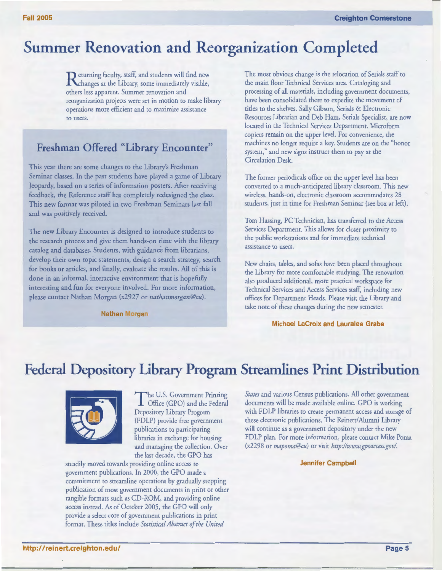## **Summer Renovation and Reorganization Completed**

**R** eturning faculty, staff, and students will find new hanges at the Library, some immediately visible, others less apparent. Summer renovation and reorganization projects were set in motion to make library operations more efficient and to maximize assistance to users.

### **Freshman Offered "Library Encounter"**

This year there are some changes to the Library's Freshman Seminar classes. In the past students have played a game of Library Jeopardy, based on a series of information posters. After receiving feedback, the Reference staff has completely redesigned the class. This new format was piloted in two Freshman Seminars last fall and was positively received.

The new Library Encounter is designed to introduce students to the research process and give them hands-on time with the library catalog and databases. Students, with guidance from librarians, develop their own topic statements, design a search strategy, search for books or articles, and finally, evaluate the results. All of this is done in an informal, interactive environment that is hopefully interesting and fun for everyone involved. For more information, please contact Nathan Morgan (x2927 or *nathanmorgan@cu).* 

**Nathan Morgan** 

The most obvious change is the relocation of Serials staff to the main floor Technical Services area. Cataloging and processing of all materials, including government documents, have been consolidated there to expedite the movement of titles to the shelves. Sally Gibson, Serials & Electronic Resources Librarian and Deb Ham, Serials Specialist, are now located in the Technical Services Department. Microform copiers remain on the upper level. For convenience, the machines no longer require a key. Students are on the "honor system," and new signs instruct them to pay at the Circulation Desk.

The former periodicals office on the upper level has been converted to a much-anticipated library classroom. This new wireless, hands-on, electronic classroom accommodates 28 students, just in time for Freshman Seminar (see box at left).

Tom Hassing, PC Technician, has transferred to the Access Services Department. This allows for closer proximity to the public workstations and for immediate technical assistance to users.

New chairs, tables, and sofas have been placed throughout the Library for more comfortable studying. The renovation also produced additional, more practical workspace for Technical Services and Access Services staff, including new offices for Department Heads. Please visit the Library and take note of these changes during the new semester.

**Michael LaCroix and Lauralee Grabe** 

### **Federal Depository Library Program Streamlines Print Distribution**



The U.S. Government Printing Office (GPO) and the Federal Depository Library Program (FDLP) provide free government publications to participating libraries in exchange for housing and managing the collection. Over the last decade, the GPO has

steadily moved towards providing online access to government publications. In 2000, the GPO made a commitment to streamline operations by gradually stopping publication of most government documents in print or other tangible formats such as CD-ROM, and providing online access instead. As of October 2005, the GPO will only provide a select core of government publications in print format. These titles include *Statistical Abstract of the United* 

*States* and various Census publications. All other government documents will be made available online. GPO is working with FDLP libraries to create permanent access and storage of these electronic publications. The Reinert/ Alumni Library will continue as a government depository under the new FDLP plan. For more information, please contact Mike Poma (x2298 or *mapoma@cu)* or visit *http://www.gpoaccess.gov/.* 

#### **Jennifer Campbell**